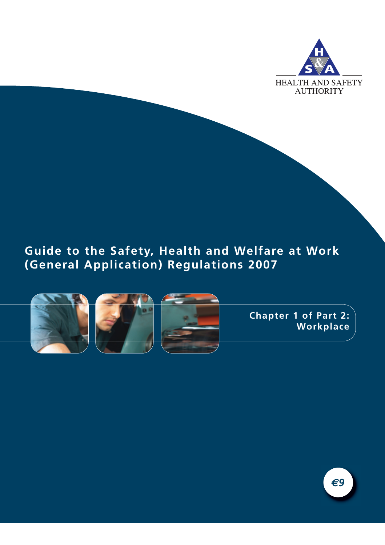

# **Guide to the Safety, Health and Welfare at Work (General Application) Regulations 2007**







**Chapter 1 of Part 2: Workplace**

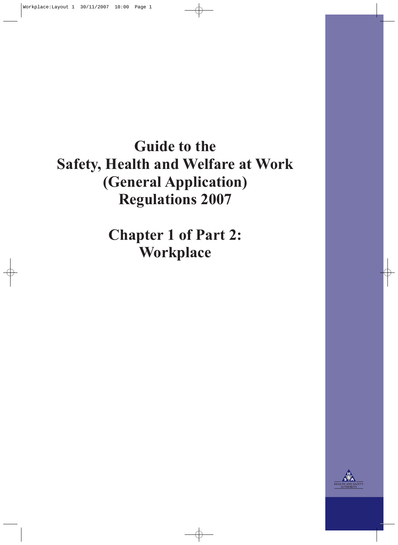**Guide to the Safety, Health and Welfare at Work (General Application) Regulations 2007**

> **Chapter 1 of Part 2: Workplace**

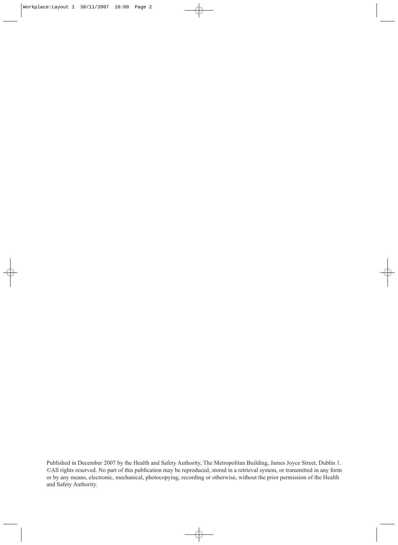Published in December 2007 by the Health and Safety Authority, The Metropolitan Building, James Joyce Street, Dublin 1. ©All rights reserved. No part of this publication may be reproduced, stored in a retrieval system, or transmitted in any form or by any means, electronic, mechanical, photocopying, recording or otherwise, without the prior permission of the Health and Safety Authority.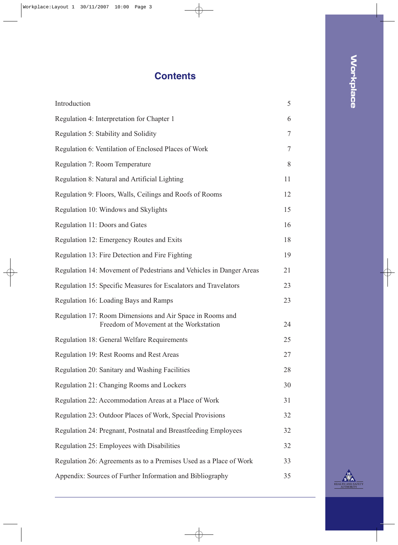# **Contents**

| Introduction                                                                                        | 5  |
|-----------------------------------------------------------------------------------------------------|----|
| Regulation 4: Interpretation for Chapter 1                                                          | 6  |
| Regulation 5: Stability and Solidity                                                                | 7  |
| Regulation 6: Ventilation of Enclosed Places of Work                                                | 7  |
| Regulation 7: Room Temperature                                                                      | 8  |
| Regulation 8: Natural and Artificial Lighting                                                       | 11 |
| Regulation 9: Floors, Walls, Ceilings and Roofs of Rooms                                            | 12 |
| Regulation 10: Windows and Skylights                                                                | 15 |
| Regulation 11: Doors and Gates                                                                      | 16 |
| Regulation 12: Emergency Routes and Exits                                                           | 18 |
| Regulation 13: Fire Detection and Fire Fighting                                                     | 19 |
| Regulation 14: Movement of Pedestrians and Vehicles in Danger Areas                                 | 21 |
| Regulation 15: Specific Measures for Escalators and Travelators                                     | 23 |
| Regulation 16: Loading Bays and Ramps                                                               | 23 |
| Regulation 17: Room Dimensions and Air Space in Rooms and<br>Freedom of Movement at the Workstation | 24 |
| Regulation 18: General Welfare Requirements                                                         | 25 |
| Regulation 19: Rest Rooms and Rest Areas                                                            | 27 |
| Regulation 20: Sanitary and Washing Facilities                                                      | 28 |
| Regulation 21: Changing Rooms and Lockers                                                           | 30 |
| Regulation 22: Accommodation Areas at a Place of Work                                               | 31 |
| Regulation 23: Outdoor Places of Work, Special Provisions                                           | 32 |
| Regulation 24: Pregnant, Postnatal and Breastfeeding Employees                                      | 32 |
| Regulation 25: Employees with Disabilities                                                          | 32 |
| Regulation 26: Agreements as to a Premises Used as a Place of Work                                  | 33 |
| Appendix: Sources of Further Information and Bibliography                                           | 35 |

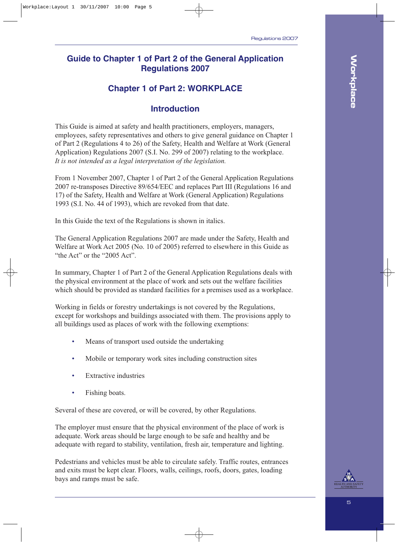### **Guide to Chapter 1 of Part 2 of the General Application Regulations 2007**

# **Chapter 1 of Part 2: WORKPLACE**

### **Introduction**

This Guide is aimed at safety and health practitioners, employers, managers, employees, safety representatives and others to give general guidance on Chapter 1 of Part 2 (Regulations 4 to 26) of the Safety, Health and Welfare at Work (General Application) Regulations 2007 (S.I. No. 299 of 2007) relating to the workplace. *It is not intended as a legal interpretation of the legislation.*

From 1 November 2007, Chapter 1 of Part 2 of the General Application Regulations 2007 re-transposes Directive 89/654/EEC and replaces Part III (Regulations 16 and 17) of the Safety, Health and Welfare at Work (General Application) Regulations 1993 (S.I. No. 44 of 1993), which are revoked from that date.

In this Guide the text of the Regulations is shown in italics.

The General Application Regulations 2007 are made under the Safety, Health and Welfare at Work Act 2005 (No. 10 of 2005) referred to elsewhere in this Guide as "the Act" or the "2005 Act".

In summary, Chapter 1 of Part 2 of the General Application Regulations deals with the physical environment at the place of work and sets out the welfare facilities which should be provided as standard facilities for a premises used as a workplace.

Working in fields or forestry undertakings is not covered by the Regulations, except for workshops and buildings associated with them. The provisions apply to all buildings used as places of work with the following exemptions:

- Means of transport used outside the undertaking
- Mobile or temporary work sites including construction sites
- Extractive industries
- Fishing boats.

Several of these are covered, or will be covered, by other Regulations.

The employer must ensure that the physical environment of the place of work is adequate. Work areas should be large enough to be safe and healthy and be adequate with regard to stability, ventilation, fresh air, temperature and lighting.

Pedestrians and vehicles must be able to circulate safely. Traffic routes, entrances and exits must be kept clear. Floors, walls, ceilings, roofs, doors, gates, loading bays and ramps must be safe.

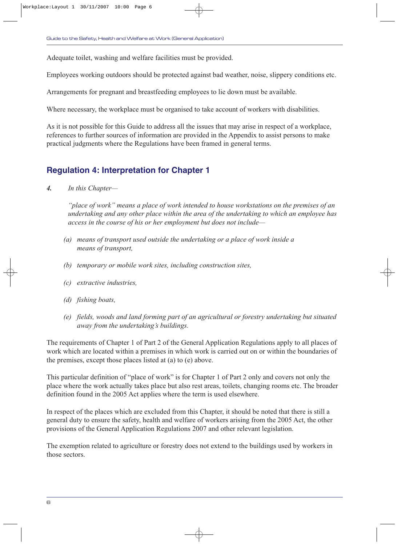Adequate toilet, washing and welfare facilities must be provided.

Employees working outdoors should be protected against bad weather, noise, slippery conditions etc.

Arrangements for pregnant and breastfeeding employees to lie down must be available.

Where necessary, the workplace must be organised to take account of workers with disabilities.

As it is not possible for this Guide to address all the issues that may arise in respect of a workplace, references to further sources of information are provided in the Appendix to assist persons to make practical judgments where the Regulations have been framed in general terms.

# **Regulation 4: Interpretation for Chapter 1**

*4. In this Chapter—*

*"place of work" means a place of work intended to house workstations on the premises of an undertaking and any other place within the area of the undertaking to which an employee has access in the course of his or her employment but does not include—*

- *(a) means of transport used outside the undertaking or a place of work inside a means of transport,*
- *(b) temporary or mobile work sites, including construction sites,*
- *(c) extractive industries,*
- *(d) fishing boats,*
- *(e) fields, woods and land forming part of an agricultural or forestry undertaking but situated away from the undertaking's buildings.*

The requirements of Chapter 1 of Part 2 of the General Application Regulations apply to all places of work which are located within a premises in which work is carried out on or within the boundaries of the premises, except those places listed at (a) to (e) above.

This particular definition of "place of work" is for Chapter 1 of Part 2 only and covers not only the place where the work actually takes place but also rest areas, toilets, changing rooms etc. The broader definition found in the 2005 Act applies where the term is used elsewhere.

In respect of the places which are excluded from this Chapter, it should be noted that there is still a general duty to ensure the safety, health and welfare of workers arising from the 2005 Act, the other provisions of the General Application Regulations 2007 and other relevant legislation.

The exemption related to agriculture or forestry does not extend to the buildings used by workers in those sectors.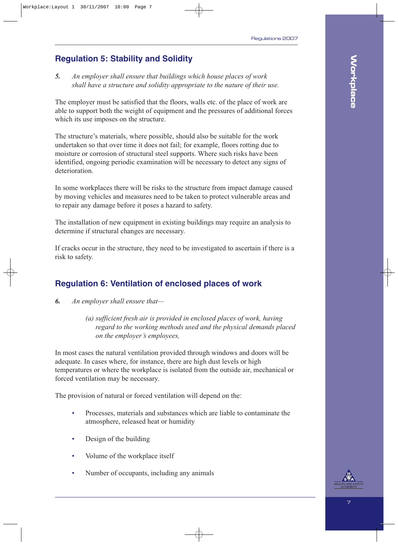# **Regulation 5: Stability and Solidity**

*5. An employer shall ensure that buildings which house places of work shall have a structure and solidity appropriate to the nature of their use.*

The employer must be satisfied that the floors, walls etc. of the place of work are able to support both the weight of equipment and the pressures of additional forces which its use imposes on the structure.

The structure's materials, where possible, should also be suitable for the work undertaken so that over time it does not fail; for example, floors rotting due to moisture or corrosion of structural steel supports. Where such risks have been identified, ongoing periodic examination will be necessary to detect any signs of deterioration.

In some workplaces there will be risks to the structure from impact damage caused by moving vehicles and measures need to be taken to protect vulnerable areas and to repair any damage before it poses a hazard to safety.

The installation of new equipment in existing buildings may require an analysis to determine if structural changes are necessary.

If cracks occur in the structure, they need to be investigated to ascertain if there is a risk to safety.

# **Regulation 6: Ventilation of enclosed places of work**

- *6. An employer shall ensure that—*
	- *(a) sufficient fresh air is provided in enclosed places of work, having regard to the working methods used and the physical demands placed on the employer's employees,*

In most cases the natural ventilation provided through windows and doors will be adequate. In cases where, for instance, there are high dust levels or high temperatures or where the workplace is isolated from the outside air, mechanical or forced ventilation may be necessary.

The provision of natural or forced ventilation will depend on the:

- Processes, materials and substances which are liable to contaminate the atmosphere, released heat or humidity
- Design of the building
- Volume of the workplace itself
- Number of occupants, including any animals

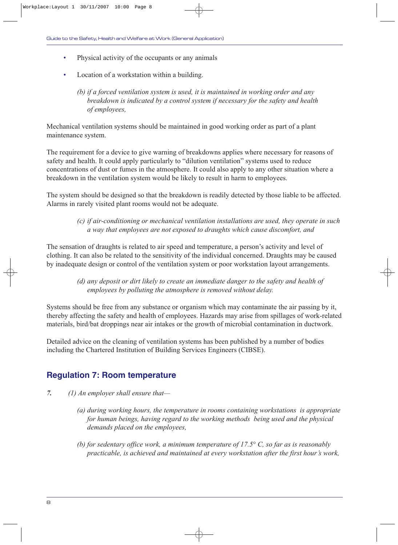- Physical activity of the occupants or any animals
- Location of a workstation within a building.

*(b) if a forced ventilation system is used, it is maintained in working order and any breakdown is indicated by a control system if necessary for the safety and health of employees,*

Mechanical ventilation systems should be maintained in good working order as part of a plant maintenance system.

The requirement for a device to give warning of breakdowns applies where necessary for reasons of safety and health. It could apply particularly to "dilution ventilation" systems used to reduce concentrations of dust or fumes in the atmosphere. It could also apply to any other situation where a breakdown in the ventilation system would be likely to result in harm to employees.

The system should be designed so that the breakdown is readily detected by those liable to be affected. Alarms in rarely visited plant rooms would not be adequate.

> *(c) if air-conditioning or mechanical ventilation installations are used, they operate in such a way that employees are not exposed to draughts which cause discomfort, and*

The sensation of draughts is related to air speed and temperature, a person's activity and level of clothing. It can also be related to the sensitivity of the individual concerned. Draughts may be caused by inadequate design or control of the ventilation system or poor workstation layout arrangements.

> *(d) any deposit or dirt likely to create an immediate danger to the safety and health of employees by polluting the atmosphere is removed without delay.*

Systems should be free from any substance or organism which may contaminate the air passing by it, thereby affecting the safety and health of employees. Hazards may arise from spillages of work-related materials, bird/bat droppings near air intakes or the growth of microbial contamination in ductwork.

Detailed advice on the cleaning of ventilation systems has been published by a number of bodies including the Chartered Institution of Building Services Engineers (CIBSE).

### **Regulation 7: Room temperature**

- *7. (1) An employer shall ensure that—*
	- *(a) during working hours, the temperature in rooms containing workstations is appropriate for human beings, having regard to the working methods being used and the physical demands placed on the employees,*
	- *(b) for sedentary office work, a minimum temperature of 17.5° C, so far as is reasonably practicable, is achieved and maintained at every workstation after the first hour's work,*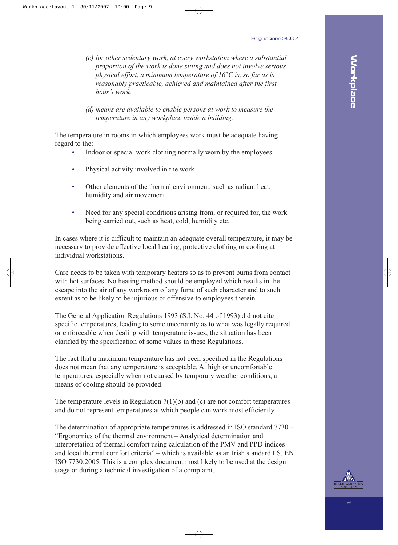- *(c) for other sedentary work, at every workstation where a substantial proportion of the work is done sitting and does not involve serious physical effort, a minimum temperature of 16°C is, so far as is reasonably practicable, achieved and maintained after the first hour's work,*
- *(d) means are available to enable persons at work to measure the temperature in any workplace inside a building,*

The temperature in rooms in which employees work must be adequate having regard to the:

- Indoor or special work clothing normally worn by the employees
- Physical activity involved in the work
- Other elements of the thermal environment, such as radiant heat, humidity and air movement
- Need for any special conditions arising from, or required for, the work being carried out, such as heat, cold, humidity etc.

In cases where it is difficult to maintain an adequate overall temperature, it may be necessary to provide effective local heating, protective clothing or cooling at individual workstations.

Care needs to be taken with temporary heaters so as to prevent burns from contact with hot surfaces. No heating method should be employed which results in the escape into the air of any workroom of any fume of such character and to such extent as to be likely to be injurious or offensive to employees therein.

The General Application Regulations 1993 (S.I. No. 44 of 1993) did not cite specific temperatures, leading to some uncertainty as to what was legally required or enforceable when dealing with temperature issues; the situation has been clarified by the specification of some values in these Regulations.

The fact that a maximum temperature has not been specified in the Regulations does not mean that any temperature is acceptable. At high or uncomfortable temperatures, especially when not caused by temporary weather conditions, a means of cooling should be provided.

The temperature levels in Regulation  $7(1)(b)$  and (c) are not comfort temperatures and do not represent temperatures at which people can work most efficiently.

The determination of appropriate temperatures is addressed in ISO standard 7730 – "Ergonomics of the thermal environment – Analytical determination and interpretation of thermal comfort using calculation of the PMV and PPD indices and local thermal comfort criteria" – which is available as an Irish standard I.S. EN ISO 7730:2005. This is a complex document most likely to be used at the design stage or during a technical investigation of a complaint.

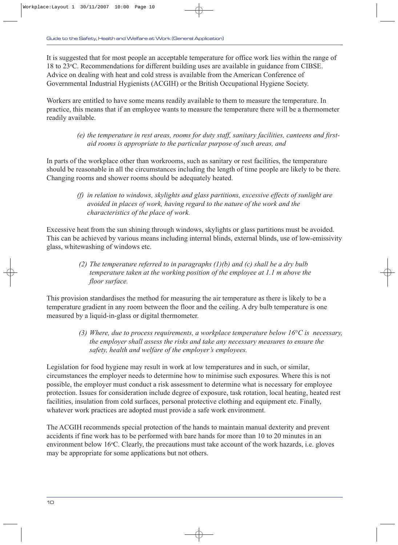It is suggested that for most people an acceptable temperature for office work lies within the range of 18 to 23°C. Recommendations for different building uses are available in guidance from CIBSE. Advice on dealing with heat and cold stress is available from the American Conference of Governmental Industrial Hygienists (ACGIH) or the British Occupational Hygiene Society.

Workers are entitled to have some means readily available to them to measure the temperature. In practice, this means that if an employee wants to measure the temperature there will be a thermometer readily available.

> *(e) the temperature in rest areas, rooms for duty staff, sanitary facilities, canteens and firstaid rooms is appropriate to the particular purpose of such areas, and*

In parts of the workplace other than workrooms, such as sanitary or rest facilities, the temperature should be reasonable in all the circumstances including the length of time people are likely to be there. Changing rooms and shower rooms should be adequately heated.

> *(f) in relation to windows, skylights and glass partitions, excessive effects of sunlight are avoided in places of work, having regard to the nature of the work and the characteristics of the place of work.*

Excessive heat from the sun shining through windows, skylights or glass partitions must be avoided. This can be achieved by various means including internal blinds, external blinds, use of low-emissivity glass, whitewashing of windows etc.

> *(2) The temperature referred to in paragraphs (1)(b) and (c) shall be a dry bulb temperature taken at the working position of the employee at 1.1 m above the floor surface.*

This provision standardises the method for measuring the air temperature as there is likely to be a temperature gradient in any room between the floor and the ceiling. A dry bulb temperature is one measured by a liquid-in-glass or digital thermometer.

> *(3) Where, due to process requirements, a workplace temperature below 16°C is necessary, the employer shall assess the risks and take any necessary measures to ensure the safety, health and welfare of the employer's employees.*

Legislation for food hygiene may result in work at low temperatures and in such, or similar, circumstances the employer needs to determine how to minimise such exposures. Where this is not possible, the employer must conduct a risk assessment to determine what is necessary for employee protection. Issues for consideration include degree of exposure, task rotation, local heating, heated rest facilities, insulation from cold surfaces, personal protective clothing and equipment etc. Finally, whatever work practices are adopted must provide a safe work environment.

The ACGIH recommends special protection of the hands to maintain manual dexterity and prevent accidents if fine work has to be performed with bare hands for more than 10 to 20 minutes in an environment below 16°C. Clearly, the precautions must take account of the work hazards, i.e. gloves may be appropriate for some applications but not others.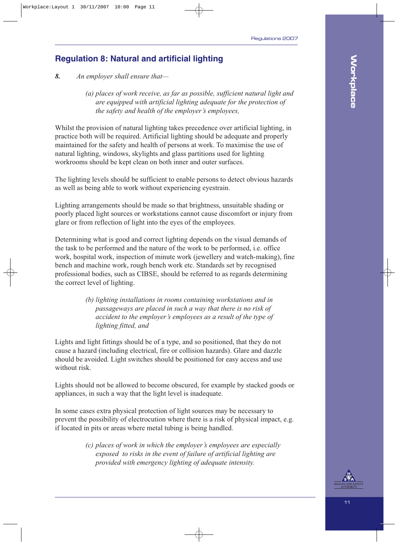# **Regulation 8: Natural and artificial lighting**

*8. An employer shall ensure that—*

*(a) places of work receive, as far as possible, sufficient natural light and are equipped with artificial lighting adequate for the protection of the safety and health of the employer's employees,*

Whilst the provision of natural lighting takes precedence over artificial lighting, in practice both will be required. Artificial lighting should be adequate and properly maintained for the safety and health of persons at work. To maximise the use of natural lighting, windows, skylights and glass partitions used for lighting workrooms should be kept clean on both inner and outer surfaces.

The lighting levels should be sufficient to enable persons to detect obvious hazards as well as being able to work without experiencing eyestrain.

Lighting arrangements should be made so that brightness, unsuitable shading or poorly placed light sources or workstations cannot cause discomfort or injury from glare or from reflection of light into the eyes of the employees.

Determining what is good and correct lighting depends on the visual demands of the task to be performed and the nature of the work to be performed, i.e. office work, hospital work, inspection of minute work (jewellery and watch-making), fine bench and machine work, rough bench work etc. Standards set by recognised professional bodies, such as CIBSE, should be referred to as regards determining the correct level of lighting.

> *(b) lighting installations in rooms containing workstations and in passageways are placed in such a way that there is no risk of accident to the employer's employees as a result of the type of lighting fitted, and*

Lights and light fittings should be of a type, and so positioned, that they do not cause a hazard (including electrical, fire or collision hazards). Glare and dazzle should be avoided. Light switches should be positioned for easy access and use without risk.

Lights should not be allowed to become obscured, for example by stacked goods or appliances, in such a way that the light level is inadequate.

In some cases extra physical protection of light sources may be necessary to prevent the possibility of electrocution where there is a risk of physical impact, e.g. if located in pits or areas where metal tubing is being handled.

> *(c) places of work in which the employer's employees are especially exposed to risks in the event of failure of artificial lighting are provided with emergency lighting of adequate intensity.*

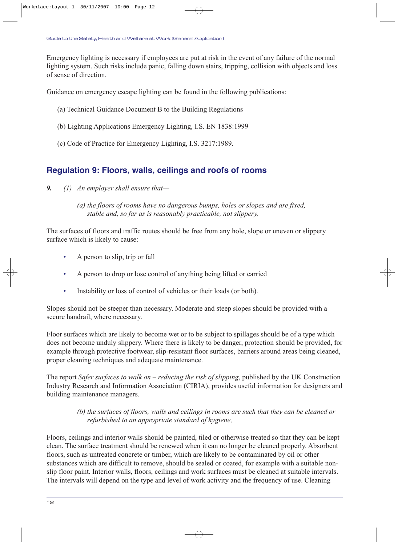Emergency lighting is necessary if employees are put at risk in the event of any failure of the normal lighting system. Such risks include panic, falling down stairs, tripping, collision with objects and loss of sense of direction.

Guidance on emergency escape lighting can be found in the following publications:

- (a) Technical Guidance Document B to the Building Regulations
- (b) Lighting Applications Emergency Lighting, I.S. EN 1838:1999
- (c) Code of Practice for Emergency Lighting, I.S. 3217:1989.

### **Regulation 9: Floors, walls, ceilings and roofs of rooms**

- *9. (1) An employer shall ensure that—*
	- *(a) the floors of rooms have no dangerous bumps, holes or slopes and are fixed, stable and, so far as is reasonably practicable, not slippery,*

The surfaces of floors and traffic routes should be free from any hole, slope or uneven or slippery surface which is likely to cause:

- A person to slip, trip or fall
- A person to drop or lose control of anything being lifted or carried
- Instability or loss of control of vehicles or their loads (or both).

Slopes should not be steeper than necessary. Moderate and steep slopes should be provided with a secure handrail, where necessary.

Floor surfaces which are likely to become wet or to be subject to spillages should be of a type which does not become unduly slippery. Where there is likely to be danger, protection should be provided, for example through protective footwear, slip-resistant floor surfaces, barriers around areas being cleaned, proper cleaning techniques and adequate maintenance.

The report *Safer surfaces to walk on – reducing the risk of slipping*, published by the UK Construction Industry Research and Information Association (CIRIA), provides useful information for designers and building maintenance managers.

#### *(b) the surfaces of floors, walls and ceilings in rooms are such that they can be cleaned or refurbished to an appropriate standard of hygiene,*

Floors, ceilings and interior walls should be painted, tiled or otherwise treated so that they can be kept clean. The surface treatment should be renewed when it can no longer be cleaned properly. Absorbent floors, such as untreated concrete or timber, which are likely to be contaminated by oil or other substances which are difficult to remove, should be sealed or coated, for example with a suitable nonslip floor paint. Interior walls, floors, ceilings and work surfaces must be cleaned at suitable intervals. The intervals will depend on the type and level of work activity and the frequency of use. Cleaning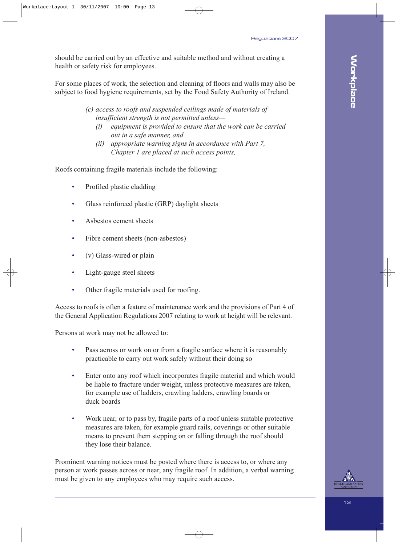should be carried out by an effective and suitable method and without creating a health or safety risk for employees.

For some places of work, the selection and cleaning of floors and walls may also be subject to food hygiene requirements, set by the Food Safety Authority of Ireland.

> *(c) access to roofs and suspended ceilings made of materials of insufficient strength is not permitted unless—*

- *(i) equipment is provided to ensure that the work can be carried out in a safe manner, and*
- *(ii) appropriate warning signs in accordance with Part 7, Chapter 1 are placed at such access points,*

Roofs containing fragile materials include the following:

- Profiled plastic cladding
- Glass reinforced plastic (GRP) daylight sheets
- Asbestos cement sheets
- Fibre cement sheets (non-asbestos)
- (v) Glass-wired or plain
- Light-gauge steel sheets
- Other fragile materials used for roofing.

Access to roofs is often a feature of maintenance work and the provisions of Part 4 of the General Application Regulations 2007 relating to work at height will be relevant.

Persons at work may not be allowed to:

- Pass across or work on or from a fragile surface where it is reasonably practicable to carry out work safely without their doing so
- Enter onto any roof which incorporates fragile material and which would be liable to fracture under weight, unless protective measures are taken, for example use of ladders, crawling ladders, crawling boards or duck boards
- Work near, or to pass by, fragile parts of a roof unless suitable protective measures are taken, for example guard rails, coverings or other suitable means to prevent them stepping on or falling through the roof should they lose their balance.

Prominent warning notices must be posted where there is access to, or where any person at work passes across or near, any fragile roof. In addition, a verbal warning must be given to any employees who may require such access.



**Workplace**

**Workplace**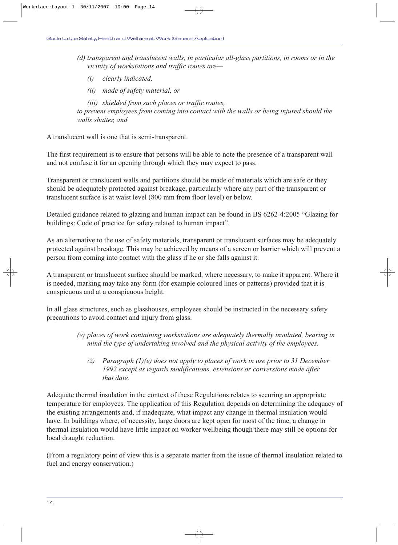- *(d) transparent and translucent walls, in particular all-glass partitions, in rooms or in the vicinity of workstations and traffic routes are—* 
	- *(i) clearly indicated,*
	- *(ii) made of safety material, or*

*(iii) shielded from such places or traffic routes, to prevent employees from coming into contact with the walls or being injured should the walls shatter, and* 

A translucent wall is one that is semi-transparent.

The first requirement is to ensure that persons will be able to note the presence of a transparent wall and not confuse it for an opening through which they may expect to pass.

Transparent or translucent walls and partitions should be made of materials which are safe or they should be adequately protected against breakage, particularly where any part of the transparent or translucent surface is at waist level (800 mm from floor level) or below.

Detailed guidance related to glazing and human impact can be found in BS 6262-4:2005 "Glazing for buildings: Code of practice for safety related to human impact".

As an alternative to the use of safety materials, transparent or translucent surfaces may be adequately protected against breakage. This may be achieved by means of a screen or barrier which will prevent a person from coming into contact with the glass if he or she falls against it.

A transparent or translucent surface should be marked, where necessary, to make it apparent. Where it is needed, marking may take any form (for example coloured lines or patterns) provided that it is conspicuous and at a conspicuous height.

In all glass structures, such as glasshouses, employees should be instructed in the necessary safety precautions to avoid contact and injury from glass.

- *(e) places of work containing workstations are adequately thermally insulated, bearing in mind the type of undertaking involved and the physical activity of the employees.*
	- *(2) Paragraph (1)(e) does not apply to places of work in use prior to 31 December 1992 except as regards modifications, extensions or conversions made after that date.*

Adequate thermal insulation in the context of these Regulations relates to securing an appropriate temperature for employees. The application of this Regulation depends on determining the adequacy of the existing arrangements and, if inadequate, what impact any change in thermal insulation would have. In buildings where, of necessity, large doors are kept open for most of the time, a change in thermal insulation would have little impact on worker wellbeing though there may still be options for local draught reduction.

(From a regulatory point of view this is a separate matter from the issue of thermal insulation related to fuel and energy conservation.)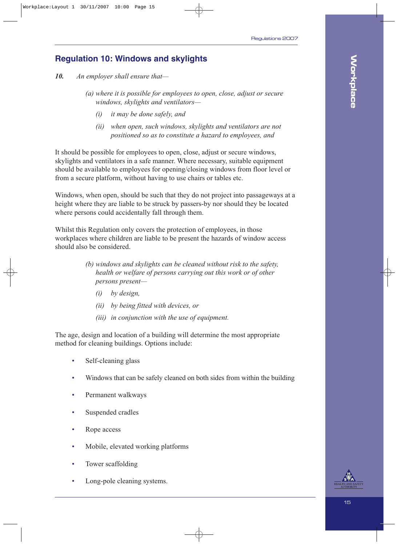# **Regulation 10: Windows and skylights**

*10. An employer shall ensure that—*

- *(a) where it is possible for employees to open, close, adjust or secure windows, skylights and ventilators—*
	- *(i) it may be done safely, and*
	- *(ii) when open, such windows, skylights and ventilators are not positioned so as to constitute a hazard to employees, and*

It should be possible for employees to open, close, adjust or secure windows, skylights and ventilators in a safe manner. Where necessary, suitable equipment should be available to employees for opening/closing windows from floor level or from a secure platform, without having to use chairs or tables etc.

Windows, when open, should be such that they do not project into passageways at a height where they are liable to be struck by passers-by nor should they be located where persons could accidentally fall through them.

Whilst this Regulation only covers the protection of employees, in those workplaces where children are liable to be present the hazards of window access should also be considered.

- *(b) windows and skylights can be cleaned without risk to the safety, health or welfare of persons carrying out this work or of other persons present—*
	- *(i) by design,*
	- *(ii) by being fitted with devices, or*
	- *(iii) in conjunction with the use of equipment.*

The age, design and location of a building will determine the most appropriate method for cleaning buildings. Options include:

- Self-cleaning glass
- Windows that can be safely cleaned on both sides from within the building
- Permanent walkways
- Suspended cradles
- Rope access
- Mobile, elevated working platforms
- Tower scaffolding
- Long-pole cleaning systems.

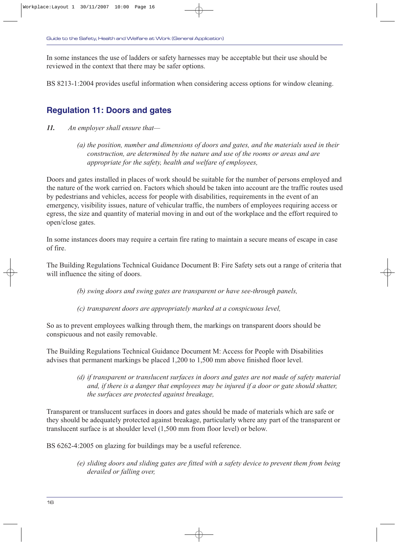In some instances the use of ladders or safety harnesses may be acceptable but their use should be reviewed in the context that there may be safer options.

BS 8213-1:2004 provides useful information when considering access options for window cleaning.

### **Regulation 11: Doors and gates**

- *11. An employer shall ensure that—*
	- *(a) the position, number and dimensions of doors and gates, and the materials used in their construction, are determined by the nature and use of the rooms or areas and are appropriate for the safety, health and welfare of employees,*

Doors and gates installed in places of work should be suitable for the number of persons employed and the nature of the work carried on. Factors which should be taken into account are the traffic routes used by pedestrians and vehicles, access for people with disabilities, requirements in the event of an emergency, visibility issues, nature of vehicular traffic, the numbers of employees requiring access or egress, the size and quantity of material moving in and out of the workplace and the effort required to open/close gates.

In some instances doors may require a certain fire rating to maintain a secure means of escape in case of fire.

The Building Regulations Technical Guidance Document B: Fire Safety sets out a range of criteria that will influence the siting of doors.

*(b) swing doors and swing gates are transparent or have see-through panels,*

*(c) transparent doors are appropriately marked at a conspicuous level,*

So as to prevent employees walking through them, the markings on transparent doors should be conspicuous and not easily removable.

The Building Regulations Technical Guidance Document M: Access for People with Disabilities advises that permanent markings be placed 1,200 to 1,500 mm above finished floor level.

> *(d) if transparent or translucent surfaces in doors and gates are not made of safety material and, if there is a danger that employees may be injured if a door or gate should shatter, the surfaces are protected against breakage,*

Transparent or translucent surfaces in doors and gates should be made of materials which are safe or they should be adequately protected against breakage, particularly where any part of the transparent or translucent surface is at shoulder level (1,500 mm from floor level) or below.

BS 6262-4:2005 on glazing for buildings may be a useful reference.

*(e) sliding doors and sliding gates are fitted with a safety device to prevent them from being derailed or falling over,*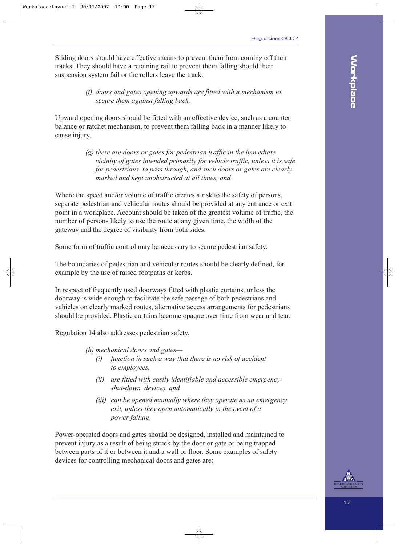Sliding doors should have effective means to prevent them from coming off their tracks. They should have a retaining rail to prevent them falling should their suspension system fail or the rollers leave the track.

> *(f) doors and gates opening upwards are fitted with a mechanism to secure them against falling back,*

Upward opening doors should be fitted with an effective device, such as a counter balance or ratchet mechanism, to prevent them falling back in a manner likely to cause injury.

> *(g) there are doors or gates for pedestrian traffic in the immediate vicinity of gates intended primarily for vehicle traffic, unless it is safe for pedestrians to pass through, and such doors or gates are clearly marked and kept unobstructed at all times, and*

Where the speed and/or volume of traffic creates a risk to the safety of persons, separate pedestrian and vehicular routes should be provided at any entrance or exit point in a workplace. Account should be taken of the greatest volume of traffic, the number of persons likely to use the route at any given time, the width of the gateway and the degree of visibility from both sides.

Some form of traffic control may be necessary to secure pedestrian safety.

The boundaries of pedestrian and vehicular routes should be clearly defined, for example by the use of raised footpaths or kerbs.

In respect of frequently used doorways fitted with plastic curtains, unless the doorway is wide enough to facilitate the safe passage of both pedestrians and vehicles on clearly marked routes, alternative access arrangements for pedestrians should be provided. Plastic curtains become opaque over time from wear and tear.

Regulation 14 also addresses pedestrian safety.

*(h) mechanical doors and gates—*

- *(i) function in such a way that there is no risk of accident to employees,*
- *(ii) are fitted with easily identifiable and accessible emergency shut-down devices, and*
- *(iii) can be opened manually where they operate as an emergency exit, unless they open automatically in the event of a power failure.*

Power-operated doors and gates should be designed, installed and maintained to prevent injury as a result of being struck by the door or gate or being trapped between parts of it or between it and a wall or floor. Some examples of safety devices for controlling mechanical doors and gates are:

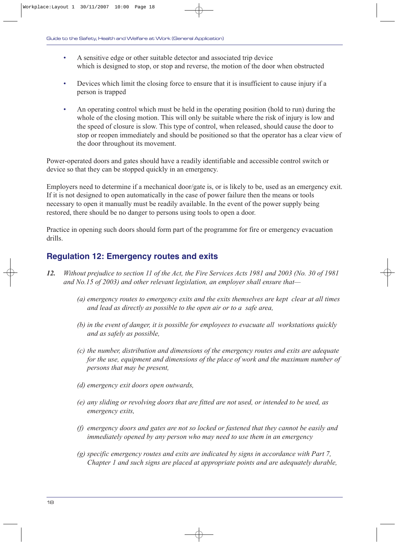- A sensitive edge or other suitable detector and associated trip device which is designed to stop, or stop and reverse, the motion of the door when obstructed
- Devices which limit the closing force to ensure that it is insufficient to cause injury if a person is trapped
- An operating control which must be held in the operating position (hold to run) during the whole of the closing motion. This will only be suitable where the risk of injury is low and the speed of closure is slow. This type of control, when released, should cause the door to stop or reopen immediately and should be positioned so that the operator has a clear view of the door throughout its movement.

Power-operated doors and gates should have a readily identifiable and accessible control switch or device so that they can be stopped quickly in an emergency.

Employers need to determine if a mechanical door/gate is, or is likely to be, used as an emergency exit. If it is not designed to open automatically in the case of power failure then the means or tools necessary to open it manually must be readily available. In the event of the power supply being restored, there should be no danger to persons using tools to open a door.

Practice in opening such doors should form part of the programme for fire or emergency evacuation drills.

# **Regulation 12: Emergency routes and exits**

- *12. Without prejudice to section 11 of the Act, the Fire Services Acts 1981 and 2003 (No. 30 of 1981 and No.15 of 2003) and other relevant legislation, an employer shall ensure that—*
	- *(a) emergency routes to emergency exits and the exits themselves are kept clear at all times and lead as directly as possible to the open air or to a safe area,*
	- *(b) in the event of danger, it is possible for employees to evacuate all workstations quickly and as safely as possible,*
	- *(c) the number, distribution and dimensions of the emergency routes and exits are adequate for the use, equipment and dimensions of the place of work and the maximum number of persons that may be present,*
	- *(d) emergency exit doors open outwards,*
	- *(e) any sliding or revolving doors that are fitted are not used, or intended to be used, as emergency exits,*
	- *(f) emergency doors and gates are not so locked or fastened that they cannot be easily and immediately opened by any person who may need to use them in an emergency*
	- *(g) specific emergency routes and exits are indicated by signs in accordance with Part 7, Chapter 1 and such signs are placed at appropriate points and are adequately durable,*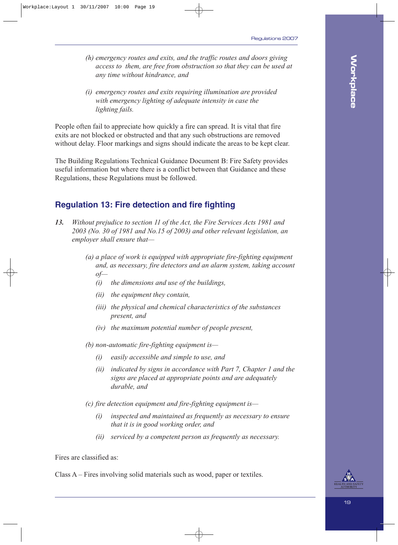- *(h) emergency routes and exits, and the traffic routes and doors giving access to them, are free from obstruction so that they can be used at any time without hindrance, and*
- *(i) emergency routes and exits requiring illumination are provided with emergency lighting of adequate intensity in case the lighting fails.*

People often fail to appreciate how quickly a fire can spread. It is vital that fire exits are not blocked or obstructed and that any such obstructions are removed without delay. Floor markings and signs should indicate the areas to be kept clear.

The Building Regulations Technical Guidance Document B: Fire Safety provides useful information but where there is a conflict between that Guidance and these Regulations, these Regulations must be followed.

### **Regulation 13: Fire detection and fire fighting**

- *13. Without prejudice to section 11 of the Act, the Fire Services Acts 1981 and 2003 (No. 30 of 1981 and No.15 of 2003) and other relevant legislation, an employer shall ensure that—*
	- *(a) a place of work is equipped with appropriate fire-fighting equipment and, as necessary, fire detectors and an alarm system, taking account of—*
		- *(i) the dimensions and use of the buildings,*
		- *(ii) the equipment they contain,*
		- *(iii) the physical and chemical characteristics of the substances present, and*
		- *(iv) the maximum potential number of people present,*

*(b) non-automatic fire-fighting equipment is—*

- *(i) easily accessible and simple to use, and*
- *(ii) indicated by signs in accordance with Part 7, Chapter 1 and the signs are placed at appropriate points and are adequately durable, and*

*(c) fire detection equipment and fire-fighting equipment is—*

- *(i) inspected and maintained as frequently as necessary to ensure that it is in good working order, and*
- *(ii) serviced by a competent person as frequently as necessary.*

Fires are classified as:

Class A – Fires involving solid materials such as wood, paper or textiles.

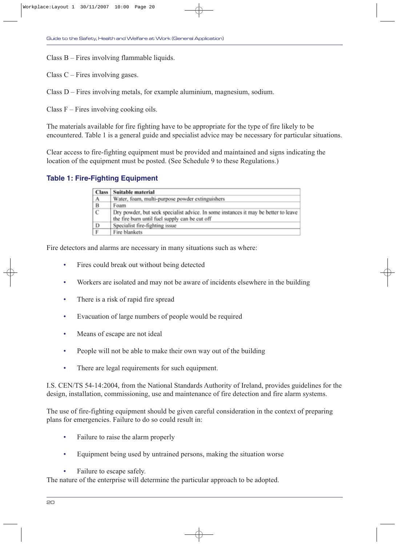Class B – Fires involving flammable liquids.

Class  $C$  – Fires involving gases.

Class D – Fires involving metals, for example aluminium, magnesium, sodium.

Class  $F$  – Fires involving cooking oils.

The materials available for fire fighting have to be appropriate for the type of fire likely to be encountered. Table 1 is a general guide and specialist advice may be necessary for particular situations.

Clear access to fire-fighting equipment must be provided and maintained and signs indicating the location of the equipment must be posted. (See Schedule 9 to these Regulations.)

### **Table 1: Fire-Fighting Equipment**

|                | Class   Suitable material                                                                                                             |
|----------------|---------------------------------------------------------------------------------------------------------------------------------------|
| A              | Water, foam, multi-purpose powder extinguishers                                                                                       |
| В              | Foam                                                                                                                                  |
| $\overline{c}$ | Dry powder, but seek specialist advice. In some instances it may be better to leave<br>the fire burn until fuel supply can be cut off |
|                | Specialist fire-fighting issue                                                                                                        |
| $\frac{D}{F}$  | Fire blankets                                                                                                                         |

Fire detectors and alarms are necessary in many situations such as where:

- Fires could break out without being detected
- Workers are isolated and may not be aware of incidents elsewhere in the building
- There is a risk of rapid fire spread
- Evacuation of large numbers of people would be required
- Means of escape are not ideal
- People will not be able to make their own way out of the building
- There are legal requirements for such equipment.

I.S. CEN/TS 54-14:2004, from the National Standards Authority of Ireland, provides guidelines for the design, installation, commissioning, use and maintenance of fire detection and fire alarm systems.

The use of fire-fighting equipment should be given careful consideration in the context of preparing plans for emergencies. Failure to do so could result in:

- Failure to raise the alarm properly
- Equipment being used by untrained persons, making the situation worse
- Failure to escape safely.

The nature of the enterprise will determine the particular approach to be adopted.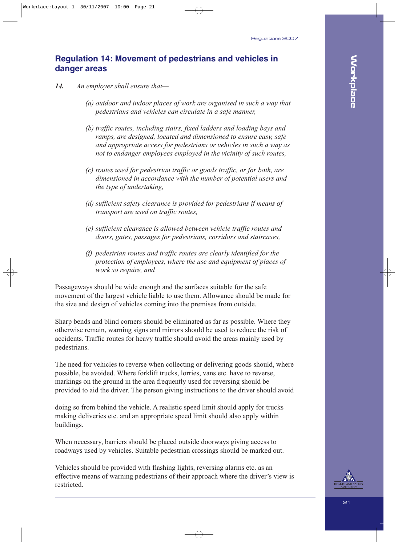### **Regulation 14: Movement of pedestrians and vehicles in danger areas**

- *14. An employer shall ensure that—*
	- *(a) outdoor and indoor places of work are organised in such a way that pedestrians and vehicles can circulate in a safe manner,*
	- *(b) traffic routes, including stairs, fixed ladders and loading bays and ramps, are designed, located and dimensioned to ensure easy, safe and appropriate access for pedestrians or vehicles in such a way as not to endanger employees employed in the vicinity of such routes,*
	- *(c) routes used for pedestrian traffic or goods traffic, or for both, are dimensioned in accordance with the number of potential users and the type of undertaking,*
	- *(d) sufficient safety clearance is provided for pedestrians if means of transport are used on traffic routes,*
	- *(e) sufficient clearance is allowed between vehicle traffic routes and doors, gates, passages for pedestrians, corridors and staircases,*
	- *(f) pedestrian routes and traffic routes are clearly identified for the protection of employees, where the use and equipment of places of work so require, and*

Passageways should be wide enough and the surfaces suitable for the safe movement of the largest vehicle liable to use them. Allowance should be made for the size and design of vehicles coming into the premises from outside.

Sharp bends and blind corners should be eliminated as far as possible. Where they otherwise remain, warning signs and mirrors should be used to reduce the risk of accidents. Traffic routes for heavy traffic should avoid the areas mainly used by pedestrians.

The need for vehicles to reverse when collecting or delivering goods should, where possible, be avoided. Where forklift trucks, lorries, vans etc. have to reverse, markings on the ground in the area frequently used for reversing should be provided to aid the driver. The person giving instructions to the driver should avoid

doing so from behind the vehicle. A realistic speed limit should apply for trucks making deliveries etc. and an appropriate speed limit should also apply within buildings.

When necessary, barriers should be placed outside doorways giving access to roadways used by vehicles. Suitable pedestrian crossings should be marked out.

Vehicles should be provided with flashing lights, reversing alarms etc. as an effective means of warning pedestrians of their approach where the driver's view is restricted.

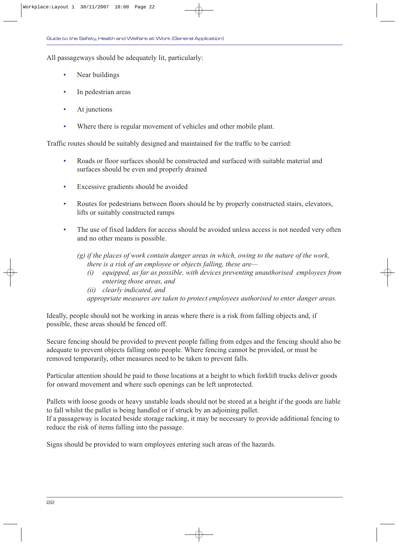All passageways should be adequately lit, particularly:

- Near buildings
- In pedestrian areas
- At junctions
- Where there is regular movement of vehicles and other mobile plant.

Traffic routes should be suitably designed and maintained for the traffic to be carried:

- Roads or floor surfaces should be constructed and surfaced with suitable material and surfaces should be even and properly drained
- Excessive gradients should be avoided
- Routes for pedestrians between floors should be by properly constructed stairs, elevators, lifts or suitably constructed ramps
- The use of fixed ladders for access should be avoided unless access is not needed very often and no other means is possible.
	- *(g) if the places of work contain danger areas in which, owing to the nature of the work, there is a risk of an employee or objects falling, these are—*
		- *(i) equipped, as far as possible, with devices preventing unauthorised employees from entering those areas, and*
		- *(ii) clearly indicated, and*
		- *appropriate measures are taken to protect employees authorised to enter danger areas.*

Ideally, people should not be working in areas where there is a risk from falling objects and, if possible, these areas should be fenced off.

Secure fencing should be provided to prevent people falling from edges and the fencing should also be adequate to prevent objects falling onto people. Where fencing cannot be provided, or must be removed temporarily, other measures need to be taken to prevent falls.

Particular attention should be paid to those locations at a height to which forklift trucks deliver goods for onward movement and where such openings can be left unprotected.

Pallets with loose goods or heavy unstable loads should not be stored at a height if the goods are liable to fall whilst the pallet is being handled or if struck by an adjoining pallet. If a passageway is located beside storage racking, it may be necessary to provide additional fencing to reduce the risk of items falling into the passage.

Signs should be provided to warn employees entering such areas of the hazards.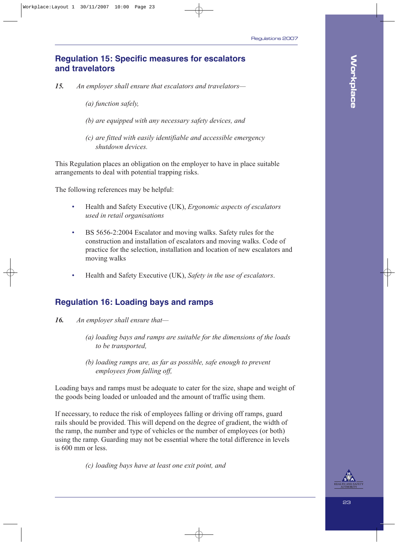### **Regulation 15: Specific measures for escalators and travelators**

- *15. An employer shall ensure that escalators and travelators—*
	- *(a) function safely,*
	- *(b) are equipped with any necessary safety devices, and*
	- *(c) are fitted with easily identifiable and accessible emergency shutdown devices.*

This Regulation places an obligation on the employer to have in place suitable arrangements to deal with potential trapping risks.

The following references may be helpful:

- Health and Safety Executive (UK), *Ergonomic aspects of escalators used in retail organisations*
- BS 5656-2:2004 Escalator and moving walks. Safety rules for the construction and installation of escalators and moving walks. Code of practice for the selection, installation and location of new escalators and moving walks
- Health and Safety Executive (UK), *Safety in the use of escalators*.

### **Regulation 16: Loading bays and ramps**

- *16. An employer shall ensure that—*
	- *(a) loading bays and ramps are suitable for the dimensions of the loads to be transported,*
	- *(b) loading ramps are, as far as possible, safe enough to prevent employees from falling off,*

Loading bays and ramps must be adequate to cater for the size, shape and weight of the goods being loaded or unloaded and the amount of traffic using them.

If necessary, to reduce the risk of employees falling or driving off ramps, guard rails should be provided. This will depend on the degree of gradient, the width of the ramp, the number and type of vehicles or the number of employees (or both) using the ramp. Guarding may not be essential where the total difference in levels is 600 mm or less.

*(c) loading bays have at least one exit point, and*

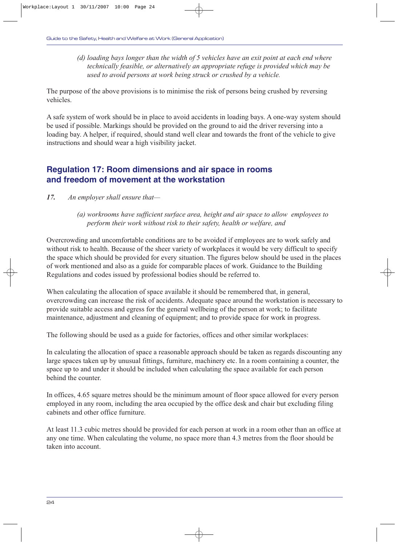*(d) loading bays longer than the width of 5 vehicles have an exit point at each end where technically feasible, or alternatively an appropriate refuge is provided which may be used to avoid persons at work being struck or crushed by a vehicle.*

The purpose of the above provisions is to minimise the risk of persons being crushed by reversing vehicles.

A safe system of work should be in place to avoid accidents in loading bays. A one-way system should be used if possible. Markings should be provided on the ground to aid the driver reversing into a loading bay. A helper, if required, should stand well clear and towards the front of the vehicle to give instructions and should wear a high visibility jacket.

### **Regulation 17: Room dimensions and air space in rooms and freedom of movement at the workstation**

- *17. An employer shall ensure that—*
	- *(a) workrooms have sufficient surface area, height and air space to allow employees to perform their work without risk to their safety, health or welfare, and*

Overcrowding and uncomfortable conditions are to be avoided if employees are to work safely and without risk to health. Because of the sheer variety of workplaces it would be very difficult to specify the space which should be provided for every situation. The figures below should be used in the places of work mentioned and also as a guide for comparable places of work. Guidance to the Building Regulations and codes issued by professional bodies should be referred to.

When calculating the allocation of space available it should be remembered that, in general, overcrowding can increase the risk of accidents. Adequate space around the workstation is necessary to provide suitable access and egress for the general wellbeing of the person at work; to facilitate maintenance, adjustment and cleaning of equipment; and to provide space for work in progress.

The following should be used as a guide for factories, offices and other similar workplaces:

In calculating the allocation of space a reasonable approach should be taken as regards discounting any large spaces taken up by unusual fittings, furniture, machinery etc. In a room containing a counter, the space up to and under it should be included when calculating the space available for each person behind the counter.

In offices, 4.65 square metres should be the minimum amount of floor space allowed for every person employed in any room, including the area occupied by the office desk and chair but excluding filing cabinets and other office furniture.

At least 11.3 cubic metres should be provided for each person at work in a room other than an office at any one time. When calculating the volume, no space more than 4.3 metres from the floor should be taken into account.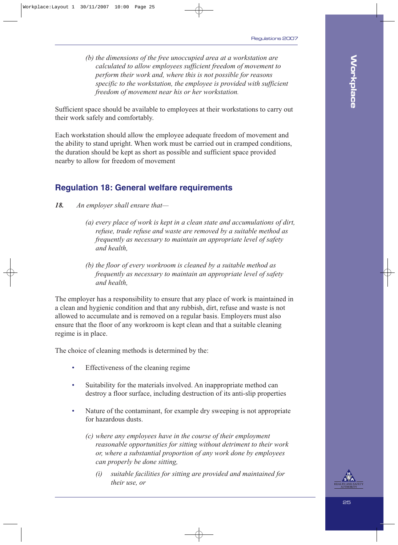*(b) the dimensions of the free unoccupied area at a workstation are calculated to allow employees sufficient freedom of movement to perform their work and, where this is not possible for reasons specific to the workstation, the employee is provided with sufficient freedom of movement near his or her workstation.*

Sufficient space should be available to employees at their workstations to carry out their work safely and comfortably.

Each workstation should allow the employee adequate freedom of movement and the ability to stand upright. When work must be carried out in cramped conditions, the duration should be kept as short as possible and sufficient space provided nearby to allow for freedom of movement

### **Regulation 18: General welfare requirements**

- *18. An employer shall ensure that—*
	- *(a) every place of work is kept in a clean state and accumulations of dirt, refuse, trade refuse and waste are removed by a suitable method as frequently as necessary to maintain an appropriate level of safety and health,*
	- *(b) the floor of every workroom is cleaned by a suitable method as frequently as necessary to maintain an appropriate level of safety and health,*

The employer has a responsibility to ensure that any place of work is maintained in a clean and hygienic condition and that any rubbish, dirt, refuse and waste is not allowed to accumulate and is removed on a regular basis. Employers must also ensure that the floor of any workroom is kept clean and that a suitable cleaning regime is in place.

The choice of cleaning methods is determined by the:

- Effectiveness of the cleaning regime
- Suitability for the materials involved. An inappropriate method can destroy a floor surface, including destruction of its anti-slip properties
- Nature of the contaminant, for example dry sweeping is not appropriate for hazardous dusts.
	- *(c) where any employees have in the course of their employment reasonable opportunities for sitting without detriment to their work or, where a substantial proportion of any work done by employees can properly be done sitting,*
		- *(i) suitable facilities for sitting are provided and maintained for their use, or*

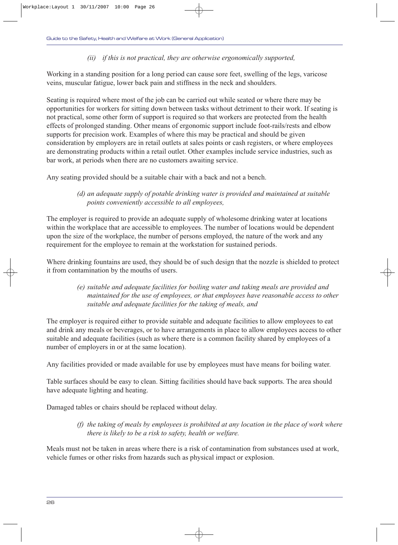#### *(ii) if this is not practical, they are otherwise ergonomically supported,*

Working in a standing position for a long period can cause sore feet, swelling of the legs, varicose veins, muscular fatigue, lower back pain and stiffness in the neck and shoulders.

Seating is required where most of the job can be carried out while seated or where there may be opportunities for workers for sitting down between tasks without detriment to their work. If seating is not practical, some other form of support is required so that workers are protected from the health effects of prolonged standing. Other means of ergonomic support include foot-rails/rests and elbow supports for precision work. Examples of where this may be practical and should be given consideration by employers are in retail outlets at sales points or cash registers, or where employees are demonstrating products within a retail outlet. Other examples include service industries, such as bar work, at periods when there are no customers awaiting service.

Any seating provided should be a suitable chair with a back and not a bench.

#### *(d) an adequate supply of potable drinking water is provided and maintained at suitable points conveniently accessible to all employees,*

The employer is required to provide an adequate supply of wholesome drinking water at locations within the workplace that are accessible to employees. The number of locations would be dependent upon the size of the workplace, the number of persons employed, the nature of the work and any requirement for the employee to remain at the workstation for sustained periods.

Where drinking fountains are used, they should be of such design that the nozzle is shielded to protect it from contamination by the mouths of users.

#### *(e) suitable and adequate facilities for boiling water and taking meals are provided and maintained for the use of employees, or that employees have reasonable access to other suitable and adequate facilities for the taking of meals, and*

The employer is required either to provide suitable and adequate facilities to allow employees to eat and drink any meals or beverages, or to have arrangements in place to allow employees access to other suitable and adequate facilities (such as where there is a common facility shared by employees of a number of employers in or at the same location).

Any facilities provided or made available for use by employees must have means for boiling water.

Table surfaces should be easy to clean. Sitting facilities should have back supports. The area should have adequate lighting and heating.

Damaged tables or chairs should be replaced without delay.

*(f) the taking of meals by employees is prohibited at any location in the place of work where there is likely to be a risk to safety, health or welfare.*

Meals must not be taken in areas where there is a risk of contamination from substances used at work, vehicle fumes or other risks from hazards such as physical impact or explosion.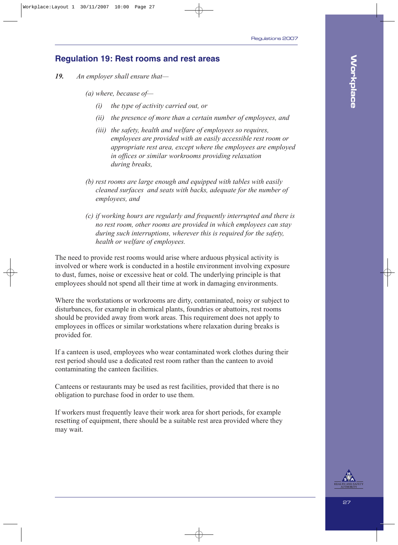### **Regulation 19: Rest rooms and rest areas**

- *19. An employer shall ensure that—*
	- *(a) where, because of—*
		- *(i) the type of activity carried out, or*
		- *(ii) the presence of more than a certain number of employees, and*
		- *(iii) the safety, health and welfare of employees so requires, employees are provided with an easily accessible rest room or appropriate rest area, except where the employees are employed in offices or similar workrooms providing relaxation during breaks,*
	- *(b) rest rooms are large enough and equipped with tables with easily cleaned surfaces and seats with backs, adequate for the number of employees, and*
	- *(c) if working hours are regularly and frequently interrupted and there is no rest room, other rooms are provided in which employees can stay during such interruptions, wherever this is required for the safety, health or welfare of employees.*

The need to provide rest rooms would arise where arduous physical activity is involved or where work is conducted in a hostile environment involving exposure to dust, fumes, noise or excessive heat or cold. The underlying principle is that employees should not spend all their time at work in damaging environments.

Where the workstations or workrooms are dirty, contaminated, noisy or subject to disturbances, for example in chemical plants, foundries or abattoirs, rest rooms should be provided away from work areas. This requirement does not apply to employees in offices or similar workstations where relaxation during breaks is provided for.

If a canteen is used, employees who wear contaminated work clothes during their rest period should use a dedicated rest room rather than the canteen to avoid contaminating the canteen facilities.

Canteens or restaurants may be used as rest facilities, provided that there is no obligation to purchase food in order to use them.

If workers must frequently leave their work area for short periods, for example resetting of equipment, there should be a suitable rest area provided where they may wait.

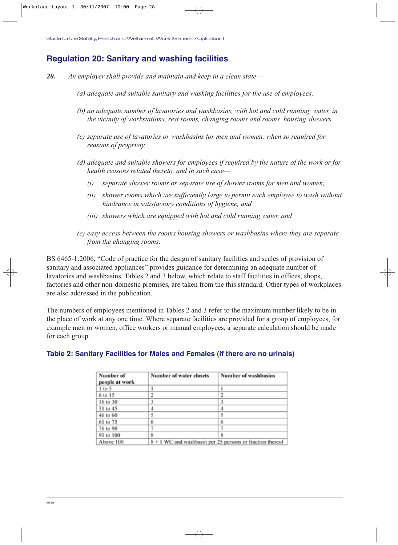### **Regulation 20: Sanitary and washing facilities**

- *20. An employer shall provide and maintain and keep in a clean state—*
	- *(a) adequate and suitable sanitary and washing facilities for the use of employees,*
	- *(b) an adequate number of lavatories and washbasins, with hot and cold running water, in the vicinity of workstations, rest rooms, changing rooms and rooms housing showers,*
	- *(c) separate use of lavatories or washbasins for men and women, when so required for reasons of propriety,*
	- *(d) adequate and suitable showers for employees if required by the nature of the work or for health reasons related thereto, and in such case—* 
		- *(i) separate shower rooms or separate use of shower rooms for men and women,*
		- *(ii) shower rooms which are sufficiently large to permit each employee to wash without hindrance in satisfactory conditions of hygiene, and*
		- *(iii) showers which are equipped with hot and cold running water, and*
	- *(e) easy access between the rooms housing showers or washbasins where they are separate from the changing rooms.*

BS 6465-1:2006, "Code of practice for the design of sanitary facilities and scales of provision of sanitary and associated appliances" provides guidance for determining an adequate number of lavatories and washbasins. Tables 2 and 3 below, which relate to staff facilities in offices, shops, factories and other non-domestic premises, are taken from the this standard. Other types of workplaces are also addressed in the publication.

The numbers of employees mentioned in Tables 2 and 3 refer to the maximum number likely to be in the place of work at any one time. Where separate facilities are provided for a group of employees, for example men or women, office workers or manual employees, a separate calculation should be made for each group.

### **Table 2: Sanitary Facilities for Males and Females (if there are no urinals)**

| Number of<br>people at work | Number of water closets | <b>Number of washbasins</b>                               |  |
|-----------------------------|-------------------------|-----------------------------------------------------------|--|
| $1$ to 5                    |                         |                                                           |  |
| 6 to 15                     | ን                       |                                                           |  |
| 16 to 30                    |                         |                                                           |  |
| 31 to 45                    |                         |                                                           |  |
| 46 to 60                    |                         |                                                           |  |
| 61 to 75                    | 6                       | 6                                                         |  |
| 76 to 90                    |                         |                                                           |  |
| 91 to 100                   | 8                       | 8                                                         |  |
| Above 100                   |                         | 8 + 1 WC and washbasin per 25 persons or fraction thereof |  |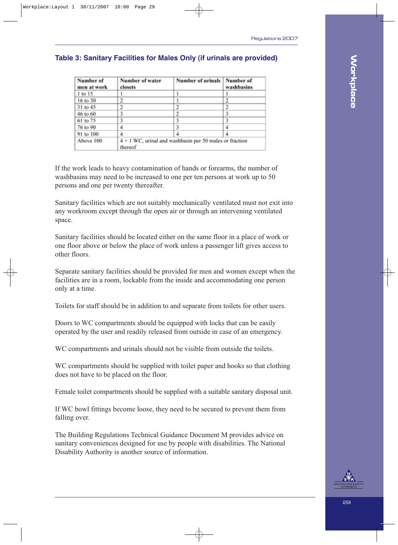### **Table 3: Sanitary Facilities for Males Only (if urinals are provided)**

| Number of   | Number of water                                         | Number of urinals   Number of |            |  |
|-------------|---------------------------------------------------------|-------------------------------|------------|--|
| men at work | closets                                                 |                               | washbasins |  |
| 1 to 15     |                                                         |                               |            |  |
| 16 to 30    |                                                         |                               |            |  |
| 31 to 45    | 2                                                       |                               |            |  |
| 46 to 60    |                                                         |                               |            |  |
| 61 to 75    |                                                         |                               |            |  |
| 76 to 90    |                                                         |                               |            |  |
| 91 to 100   |                                                         |                               |            |  |
| Above 100   | 4 + 1 WC, urinal and washbasin per 50 males or fraction |                               |            |  |
|             | thereof                                                 |                               |            |  |

If the work leads to heavy contamination of hands or forearms, the number of washbasins may need to be increased to one per ten persons at work up to 50 persons and one per twenty thereafter.

Sanitary facilities which are not suitably mechanically ventilated must not exit into any workroom except through the open air or through an intervening ventilated space.

Sanitary facilities should be located either on the same floor in a place of work or one floor above or below the place of work unless a passenger lift gives access to other floors.

Separate sanitary facilities should be provided for men and women except when the facilities are in a room, lockable from the inside and accommodating one person only at a time.

Toilets for staff should be in addition to and separate from toilets for other users.

Doors to WC compartments should be equipped with locks that can be easily operated by the user and readily released from outside in case of an emergency.

WC compartments and urinals should not be visible from outside the toilets.

WC compartments should be supplied with toilet paper and hooks so that clothing does not have to be placed on the floor.

Female toilet compartments should be supplied with a suitable sanitary disposal unit.

If WC bowl fittings become loose, they need to be secured to prevent them from falling over.

The Building Regulations Technical Guidance Document M provides advice on sanitary conveniences designed for use by people with disabilities. The National Disability Authority is another source of information.

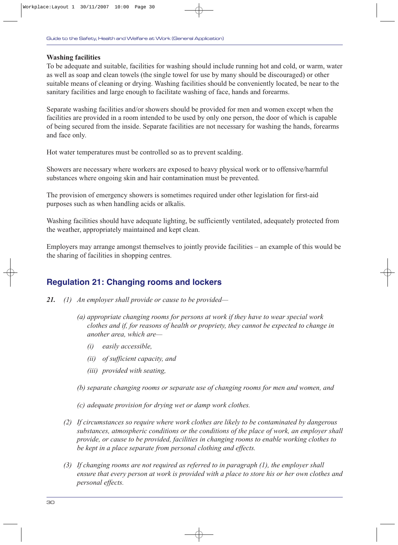#### **Washing facilities**

To be adequate and suitable, facilities for washing should include running hot and cold, or warm, water as well as soap and clean towels (the single towel for use by many should be discouraged) or other suitable means of cleaning or drying. Washing facilities should be conveniently located, be near to the sanitary facilities and large enough to facilitate washing of face, hands and forearms.

Separate washing facilities and/or showers should be provided for men and women except when the facilities are provided in a room intended to be used by only one person, the door of which is capable of being secured from the inside. Separate facilities are not necessary for washing the hands, forearms and face only.

Hot water temperatures must be controlled so as to prevent scalding.

Showers are necessary where workers are exposed to heavy physical work or to offensive/harmful substances where ongoing skin and hair contamination must be prevented.

The provision of emergency showers is sometimes required under other legislation for first-aid purposes such as when handling acids or alkalis.

Washing facilities should have adequate lighting, be sufficiently ventilated, adequately protected from the weather, appropriately maintained and kept clean.

Employers may arrange amongst themselves to jointly provide facilities – an example of this would be the sharing of facilities in shopping centres.

### **Regulation 21: Changing rooms and lockers**

- *21. (1) An employer shall provide or cause to be provided—*
	- *(a) appropriate changing rooms for persons at work if they have to wear special work clothes and if, for reasons of health or propriety, they cannot be expected to change in another area, which are—*
		- *(i) easily accessible,*
		- *(ii) of sufficient capacity, and*
		- *(iii) provided with seating,*
	- *(b) separate changing rooms or separate use of changing rooms for men and women, and*
	- *(c) adequate provision for drying wet or damp work clothes.*
	- *(2) If circumstances so require where work clothes are likely to be contaminated by dangerous substances, atmospheric conditions or the conditions of the place of work, an employer shall provide, or cause to be provided, facilities in changing rooms to enable working clothes to be kept in a place separate from personal clothing and effects.*
	- *(3) If changing rooms are not required as referred to in paragraph (1), the employer shall ensure that every person at work is provided with a place to store his or her own clothes and personal effects.*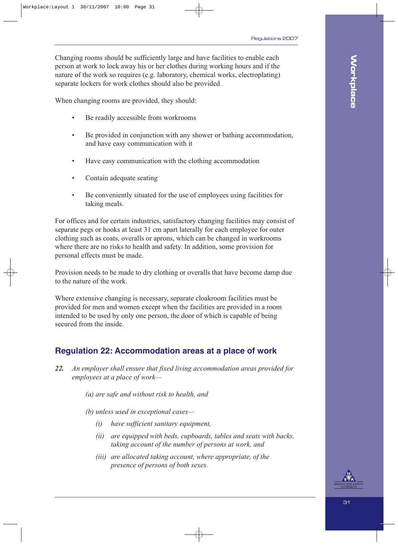Changing rooms should be sufficiently large and have facilities to enable each person at work to lock away his or her clothes during working hours and if the nature of the work so requires (e.g. laboratory, chemical works, electroplating) separate lockers for work clothes should also be provided.

When changing rooms are provided, they should:

- Be readily accessible from workrooms
- Be provided in conjunction with any shower or bathing accommodation, and have easy communication with it
- Have easy communication with the clothing accommodation
- Contain adequate seating
- Be conveniently situated for the use of employees using facilities for taking meals.

For offices and for certain industries, satisfactory changing facilities may consist of separate pegs or hooks at least 31 cm apart laterally for each employee for outer clothing such as coats, overalls or aprons, which can be changed in workrooms where there are no risks to health and safety. In addition, some provision for personal effects must be made.

Provision needs to be made to dry clothing or overalls that have become damp due to the nature of the work.

Where extensive changing is necessary, separate cloakroom facilities must be provided for men and women except when the facilities are provided in a room intended to be used by only one person, the door of which is capable of being secured from the inside.

### **Regulation 22: Accommodation areas at a place of work**

*22. An employer shall ensure that fixed living accommodation areas provided for employees at a place of work—*

*(a) are safe and without risk to health, and*

*(b) unless used in exceptional cases—*

- *(i) have sufficient sanitary equipment,*
- *(ii) are equipped with beds, cupboards, tables and seats with backs, taking account of the number of persons at work, and*
- *(iii) are allocated taking account, where appropriate, of the presence of persons of both sexes.*

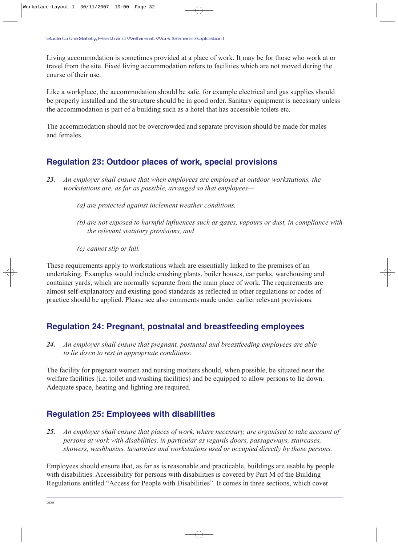Living accommodation is sometimes provided at a place of work. It may be for those who work at or travel from the site. Fixed living accommodation refers to facilities which are not moved during the course of their use.

Like a workplace, the accommodation should be safe, for example electrical and gas supplies should be properly installed and the structure should be in good order. Sanitary equipment is necessary unless the accommodation is part of a building such as a hotel that has accessible toilets etc.

The accommodation should not be overcrowded and separate provision should be made for males and females.

### **Regulation 23: Outdoor places of work, special provisions**

- *23. An employer shall ensure that when employees are employed at outdoor workstations, the workstations are, as far as possible, arranged so that employees—*
	- *(a) are protected against inclement weather conditions,*
	- *(b) are not exposed to harmful influences such as gases, vapours or dust, in compliance with the relevant statutory provisions, and*
	- *(c) cannot slip or fall.*

These requirements apply to workstations which are essentially linked to the premises of an undertaking. Examples would include crushing plants, boiler houses, car parks, warehousing and container yards, which are normally separate from the main place of work. The requirements are almost self-explanatory and existing good standards as reflected in other regulations or codes of practice should be applied. Please see also comments made under earlier relevant provisions.

### **Regulation 24: Pregnant, postnatal and breastfeeding employees**

*24. An employer shall ensure that pregnant, postnatal and breastfeeding employees are able to lie down to rest in appropriate conditions.*

The facility for pregnant women and nursing mothers should, when possible, be situated near the welfare facilities (i.e. toilet and washing facilities) and be equipped to allow persons to lie down. Adequate space, heating and lighting are required.

# **Regulation 25: Employees with disabilities**

*25. An employer shall ensure that places of work, where necessary, are organised to take account of persons at work with disabilities, in particular as regards doors, passageways, staircases, showers, washbasins, lavatories and workstations used or occupied directly by those persons.*

Employees should ensure that, as far as is reasonable and practicable, buildings are usable by people with disabilities. Accessibility for persons with disabilities is covered by Part M of the Building Regulations entitled "Access for People with Disabilities". It comes in three sections, which cover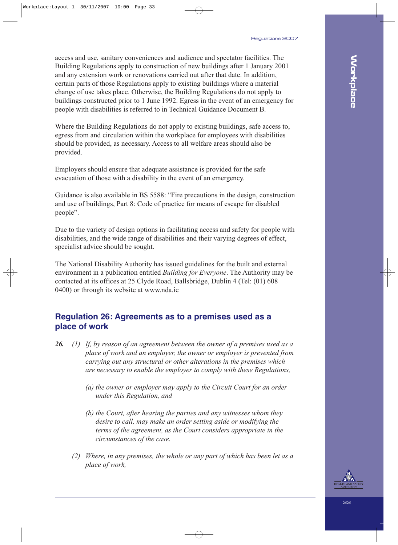access and use, sanitary conveniences and audience and spectator facilities. The Building Regulations apply to construction of new buildings after 1 January 2001 and any extension work or renovations carried out after that date. In addition, certain parts of those Regulations apply to existing buildings where a material change of use takes place. Otherwise, the Building Regulations do not apply to buildings constructed prior to 1 June 1992. Egress in the event of an emergency for people with disabilities is referred to in Technical Guidance Document B.

Where the Building Regulations do not apply to existing buildings, safe access to, egress from and circulation within the workplace for employees with disabilities should be provided, as necessary. Access to all welfare areas should also be provided.

Employers should ensure that adequate assistance is provided for the safe evacuation of those with a disability in the event of an emergency.

Guidance is also available in BS 5588: "Fire precautions in the design, construction and use of buildings, Part 8: Code of practice for means of escape for disabled people".

Due to the variety of design options in facilitating access and safety for people with disabilities, and the wide range of disabilities and their varying degrees of effect, specialist advice should be sought.

The National Disability Authority has issued guidelines for the built and external environment in a publication entitled *Building for Everyone*. The Authority may be contacted at its offices at 25 Clyde Road, Ballsbridge, Dublin 4 (Tel: (01) 608 0400) or through its website at www.nda.ie

### **Regulation 26: Agreements as to a premises used as a place of work**

- *26. (1) If, by reason of an agreement between the owner of a premises used as a place of work and an employer, the owner or employer is prevented from carrying out any structural or other alterations in the premises which are necessary to enable the employer to comply with these Regulations,*
	- *(a) the owner or employer may apply to the Circuit Court for an order under this Regulation, and*
	- *(b) the Court, after hearing the parties and any witnesses whom they desire to call, may make an order setting aside or modifying the terms of the agreement, as the Court considers appropriate in the circumstances of the case.*
	- *(2) Where, in any premises, the whole or any part of which has been let as a place of work,*

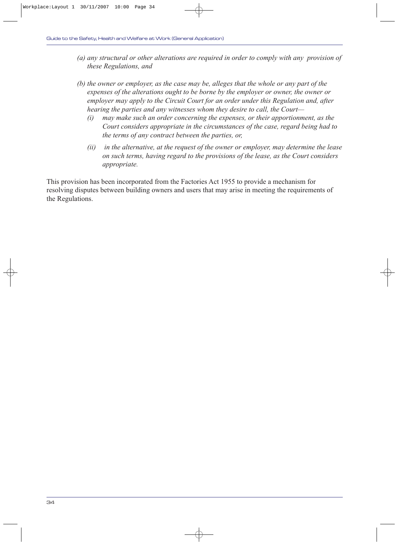- *(a) any structural or other alterations are required in order to comply with any provision of these Regulations, and*
- *(b) the owner or employer, as the case may be, alleges that the whole or any part of the expenses of the alterations ought to be borne by the employer or owner, the owner or employer may apply to the Circuit Court for an order under this Regulation and, after hearing the parties and any witnesses whom they desire to call, the Court—* 
	- *(i) may make such an order concerning the expenses, or their apportionment, as the Court considers appropriate in the circumstances of the case, regard being had to the terms of any contract between the parties, or,*
	- *(ii) in the alternative, at the request of the owner or employer, may determine the lease on such terms, having regard to the provisions of the lease, as the Court considers appropriate.*

This provision has been incorporated from the Factories Act 1955 to provide a mechanism for resolving disputes between building owners and users that may arise in meeting the requirements of the Regulations.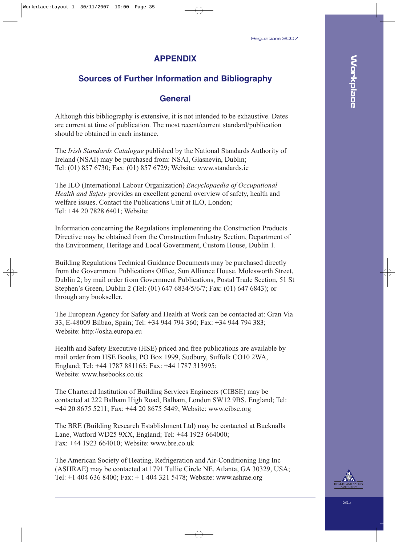### **APPENDIX**

### **Sources of Further Information and Bibliography**

### **General**

Although this bibliography is extensive, it is not intended to be exhaustive. Dates are current at time of publication. The most recent/current standard/publication should be obtained in each instance.

The *Irish Standards Catalogue* published by the National Standards Authority of Ireland (NSAI) may be purchased from: NSAI, Glasnevin, Dublin; Tel: (01) 857 6730; Fax: (01) 857 6729; Website: www.standards.ie

The ILO (International Labour Organization) *Encyclopaedia of Occupational Health and Safety* provides an excellent general overview of safety, health and welfare issues. Contact the Publications Unit at ILO, London; Tel: +44 20 7828 6401; Website:

Information concerning the Regulations implementing the Construction Products Directive may be obtained from the Construction Industry Section, Department of the Environment, Heritage and Local Government, Custom House, Dublin 1.

Building Regulations Technical Guidance Documents may be purchased directly from the Government Publications Office, Sun Alliance House, Molesworth Street, Dublin 2; by mail order from Government Publications, Postal Trade Section, 51 St Stephen's Green, Dublin 2 (Tel: (01) 647 6834/5/6/7; Fax: (01) 647 6843); or through any bookseller.

The European Agency for Safety and Health at Work can be contacted at: Gran Via 33, E-48009 Bilbao, Spain; Tel: +34 944 794 360; Fax: +34 944 794 383; Website: http://osha.europa.eu

Health and Safety Executive (HSE) priced and free publications are available by mail order from HSE Books, PO Box 1999, Sudbury, Suffolk CO10 2WA, England; Tel: +44 1787 881165; Fax: +44 1787 313995; Website: www.hsebooks.co.uk

The Chartered Institution of Building Services Engineers (CIBSE) may be contacted at 222 Balham High Road, Balham, London SW12 9BS, England; Tel: +44 20 8675 5211; Fax: +44 20 8675 5449; Website: www.cibse.org

The BRE (Building Research Establishment Ltd) may be contacted at Bucknalls Lane, Watford WD25 9XX, England; Tel: +44 1923 664000; Fax: +44 1923 664010; Website: www.bre.co.uk

The American Society of Heating, Refrigeration and Air-Conditioning Eng Inc (ASHRAE) may be contacted at 1791 Tullie Circle NE, Atlanta, GA 30329, USA; Tel: +1 404 636 8400; Fax: + 1 404 321 5478; Website: www.ashrae.org

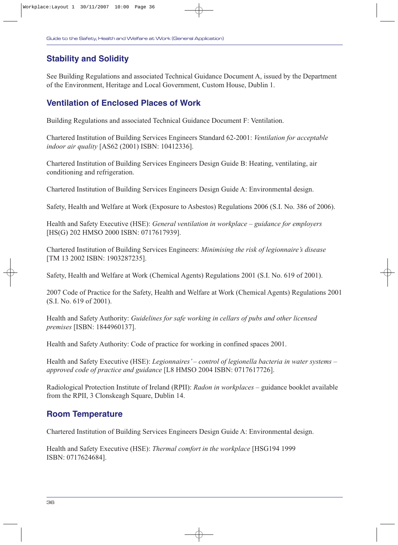# **Stability and Solidity**

See Building Regulations and associated Technical Guidance Document A, issued by the Department of the Environment, Heritage and Local Government, Custom House, Dublin 1.

### **Ventilation of Enclosed Places of Work**

Building Regulations and associated Technical Guidance Document F: Ventilation.

Chartered Institution of Building Services Engineers Standard 62-2001: *Ventilation for acceptable indoor air quality* [AS62 (2001) ISBN: 10412336].

Chartered Institution of Building Services Engineers Design Guide B: Heating, ventilating, air conditioning and refrigeration.

Chartered Institution of Building Services Engineers Design Guide A: Environmental design.

Safety, Health and Welfare at Work (Exposure to Asbestos) Regulations 2006 (S.I. No. 386 of 2006).

Health and Safety Executive (HSE): *General ventilation in workplace – guidance for employers* [HS(G) 202 HMSO 2000 ISBN: 0717617939].

Chartered Institution of Building Services Engineers: *Minimising the risk of legionnaire's disease* [TM 13 2002 ISBN: 1903287235].

Safety, Health and Welfare at Work (Chemical Agents) Regulations 2001 (S.I. No. 619 of 2001).

2007 Code of Practice for the Safety, Health and Welfare at Work (Chemical Agents) Regulations 2001 (S.I. No. 619 of 2001).

Health and Safety Authority: *Guidelines for safe working in cellars of pubs and other licensed premises* [ISBN: 1844960137].

Health and Safety Authority: Code of practice for working in confined spaces 2001.

Health and Safety Executive (HSE): *Legionnaires' – control of legionella bacteria in water systems – approved code of practice and guidance* [L8 HMSO 2004 ISBN: 0717617726].

Radiological Protection Institute of Ireland (RPII): *Radon in workplaces* – guidance booklet available from the RPII, 3 Clonskeagh Square, Dublin 14.

### **Room Temperature**

Chartered Institution of Building Services Engineers Design Guide A: Environmental design.

Health and Safety Executive (HSE): *Thermal comfort in the workplace* [HSG194 1999 ISBN: 0717624684].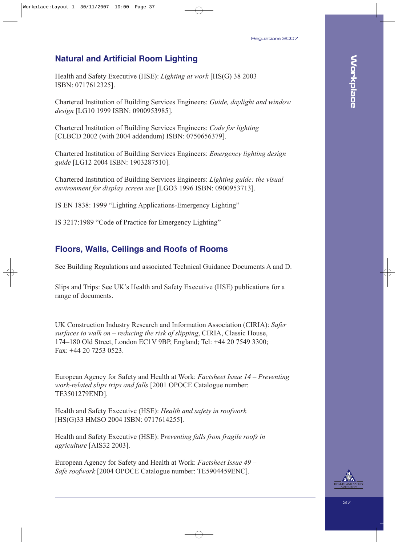# **Natural and Artificial Room Lighting**

Health and Safety Executive (HSE): *Lighting at work* [HS(G) 38 2003 ISBN: 0717612325].

Chartered Institution of Building Services Engineers: *Guide, daylight and window design* [LG10 1999 ISBN: 0900953985].

Chartered Institution of Building Services Engineers: *Code for lighting* [CLBCD 2002 (with 2004 addendum) ISBN: 0750656379].

Chartered Institution of Building Services Engineers: *Emergency lighting design guide* [LG12 2004 ISBN: 1903287510].

Chartered Institution of Building Services Engineers: *Lighting guide: the visual environment for display screen use* [LGO3 1996 ISBN: 0900953713].

IS EN 1838: 1999 "Lighting Applications-Emergency Lighting"

IS 3217:1989 "Code of Practice for Emergency Lighting"

### **Floors, Walls, Ceilings and Roofs of Rooms**

See Building Regulations and associated Technical Guidance Documents A and D.

Slips and Trips: See UK's Health and Safety Executive (HSE) publications for a range of documents.

UK Construction Industry Research and Information Association (CIRIA): *Safer surfaces to walk on – reducing the risk of slipping*, CIRIA, Classic House, 174–180 Old Street, London EC1V 9BP, England; Tel: +44 20 7549 3300; Fax: +44 20 7253 0523.

European Agency for Safety and Health at Work: *Factsheet Issue 14 – Preventing work-related slips trips and falls* [2001 OPOCE Catalogue number: TE3501279END].

Health and Safety Executive (HSE): *Health and safety in roofwork* [HS(G)33 HMSO 2004 ISBN: 0717614255].

Health and Safety Executive (HSE): P*reventing falls from fragile roofs in agriculture* [AIS32 2003].

European Agency for Safety and Health at Work: *Factsheet Issue 49 – Safe roofwork* [2004 OPOCE Catalogue number: TE5904459ENC].

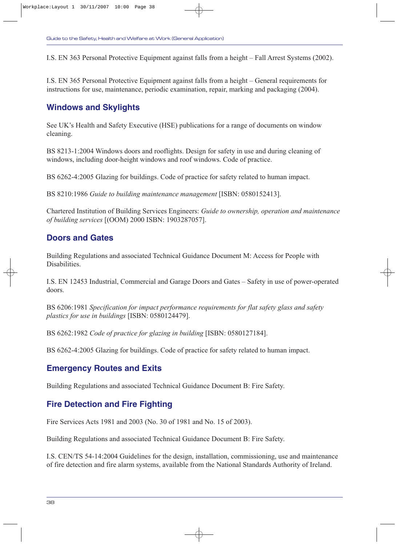I.S. EN 363 Personal Protective Equipment against falls from a height – Fall Arrest Systems (2002).

I.S. EN 365 Personal Protective Equipment against falls from a height – General requirements for instructions for use, maintenance, periodic examination, repair, marking and packaging (2004).

### **Windows and Skylights**

See UK's Health and Safety Executive (HSE) publications for a range of documents on window cleaning.

BS 8213-1:2004 Windows doors and rooflights. Design for safety in use and during cleaning of windows, including door-height windows and roof windows. Code of practice.

BS 6262-4:2005 Glazing for buildings. Code of practice for safety related to human impact.

BS 8210:1986 *Guide to building maintenance management* [ISBN: 0580152413].

Chartered Institution of Building Services Engineers: *Guide to ownership, operation and maintenance of building services* [(OOM) 2000 ISBN: 1903287057].

### **Doors and Gates**

Building Regulations and associated Technical Guidance Document M: Access for People with Disabilities.

I.S. EN 12453 Industrial, Commercial and Garage Doors and Gates – Safety in use of power-operated doors.

BS 6206:1981 *Specification for impact performance requirements for flat safety glass and safety plastics for use in buildings* [ISBN: 0580124479].

BS 6262:1982 *Code of practice for glazing in building* [ISBN: 0580127184].

BS 6262-4:2005 Glazing for buildings. Code of practice for safety related to human impact.

### **Emergency Routes and Exits**

Building Regulations and associated Technical Guidance Document B: Fire Safety.

# **Fire Detection and Fire Fighting**

Fire Services Acts 1981 and 2003 (No. 30 of 1981 and No. 15 of 2003).

Building Regulations and associated Technical Guidance Document B: Fire Safety.

I.S. CEN/TS 54-14:2004 Guidelines for the design, installation, commissioning, use and maintenance of fire detection and fire alarm systems, available from the National Standards Authority of Ireland.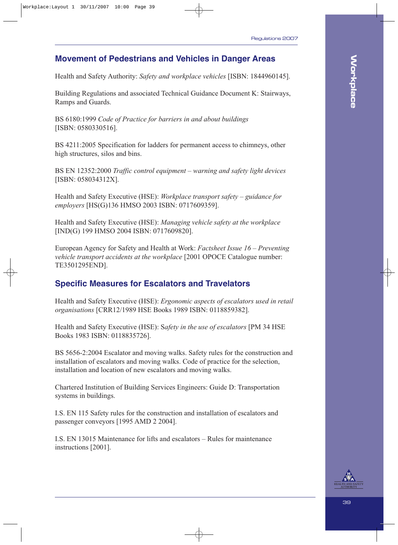### **Movement of Pedestrians and Vehicles in Danger Areas**

Health and Safety Authority: *Safety and workplace vehicles* [ISBN: 1844960145].

Building Regulations and associated Technical Guidance Document K: Stairways, Ramps and Guards.

BS 6180:1999 *Code of Practice for barriers in and about buildings* [ISBN: 0580330516].

BS 4211:2005 Specification for ladders for permanent access to chimneys, other high structures, silos and bins.

BS EN 12352:2000 *Traffic control equipment – warning and safety light devices* [ISBN: 058034312X].

Health and Safety Executive (HSE): *Workplace transport safety – guidance for employers* [HS(G)136 HMSO 2003 ISBN: 0717609359].

Health and Safety Executive (HSE): *Managing vehicle safety at the workplace* [IND(G) 199 HMSO 2004 ISBN: 0717609820].

European Agency for Safety and Health at Work: *Factsheet Issue 16 – Preventing vehicle transport accidents at the workplace* [2001 OPOCE Catalogue number: TE3501295END].

### **Specific Measures for Escalators and Travelators**

Health and Safety Executive (HSE): *Ergonomic aspects of escalators used in retail organisations* [CRR12/1989 HSE Books 1989 ISBN: 0118859382].

Health and Safety Executive (HSE): S*afety in the use of escalators* [PM 34 HSE Books 1983 ISBN: 0118835726].

BS 5656-2:2004 Escalator and moving walks. Safety rules for the construction and installation of escalators and moving walks. Code of practice for the selection, installation and location of new escalators and moving walks.

Chartered Institution of Building Services Engineers: Guide D: Transportation systems in buildings.

I.S. EN 115 Safety rules for the construction and installation of escalators and passenger conveyors [1995 AMD 2 2004].

I.S. EN 13015 Maintenance for lifts and escalators – Rules for maintenance instructions [2001].

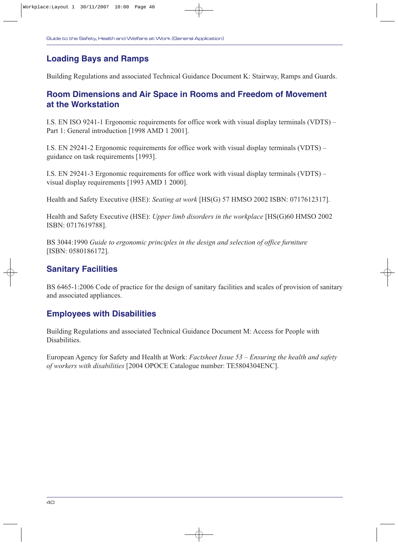# **Loading Bays and Ramps**

Building Regulations and associated Technical Guidance Document K: Stairway, Ramps and Guards.

### **Room Dimensions and Air Space in Rooms and Freedom of Movement at the Workstation**

I.S. EN ISO 9241-1 Ergonomic requirements for office work with visual display terminals (VDTS) – Part 1: General introduction [1998 AMD 1 2001].

I.S. EN 29241-2 Ergonomic requirements for office work with visual display terminals (VDTS) – guidance on task requirements [1993].

I.S. EN 29241-3 Ergonomic requirements for office work with visual display terminals (VDTS) – visual display requirements [1993 AMD 1 2000].

Health and Safety Executive (HSE): *Seating at work* [HS(G) 57 HMSO 2002 ISBN: 0717612317].

Health and Safety Executive (HSE): *Upper limb disorders in the workplace* [HS(G)60 HMSO 2002 ISBN: 0717619788].

BS 3044:1990 *Guide to ergonomic principles in the design and selection of office furniture* [ISBN: 0580186172].

### **Sanitary Facilities**

BS 6465-1:2006 Code of practice for the design of sanitary facilities and scales of provision of sanitary and associated appliances.

### **Employees with Disabilities**

Building Regulations and associated Technical Guidance Document M: Access for People with **Disabilities** 

European Agency for Safety and Health at Work: *Factsheet Issue 53 – Ensuring the health and safety of workers with disabilities* [2004 OPOCE Catalogue number: TE5804304ENC].